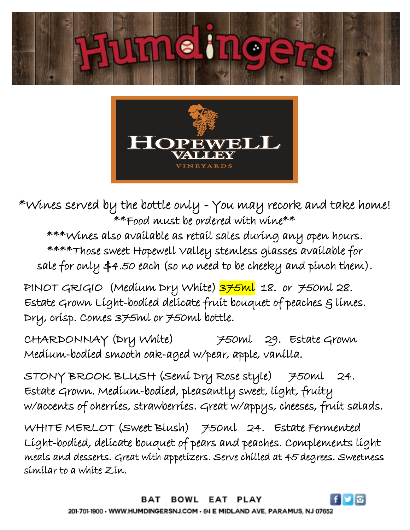



 $\ast$ Wines served by the bottle only - You may recork and take home! \*\*Food must be ordered with wine\*\*

\*\*\*Wines also available as retail sales during any open hours. \*\*\*\*Those sweet Hopewell Valley stemless glasses available for sale for only \$4.50 each (so no need to be cheeky and pinch them).

PINOT GRIGIO (Medium Dry White) 375ml 18. or 750ml 28. Estate Grown Light-bodied delicate fruit bouquet of peaches  $g$  limes. Dry, crisp. Comes 375ml or 750ml bottle.

CHARDONNAY (Dry White) 750ml 29. Estate Grown Medium-bodied smooth oak-aged w/pear, apple, vanilla.

STONY BROOK BLUSH (Semi Dry Rose style) 750ml 24. Estate Grown. Medium-bodied, pleasantly sweet, light, fruity w/accents of cherries, strawberries. Great w/appys, cheeses, fruit salads.

WHITE MERLOT (Sweet Blush) 750ml 24. Estate Fermented Light-bodied, delicate bouquet of pears and peaches. Complements light meals and desserts. Great with appetizers. Serve chilled at 45 degrees. Sweetness similar to a white Zin.